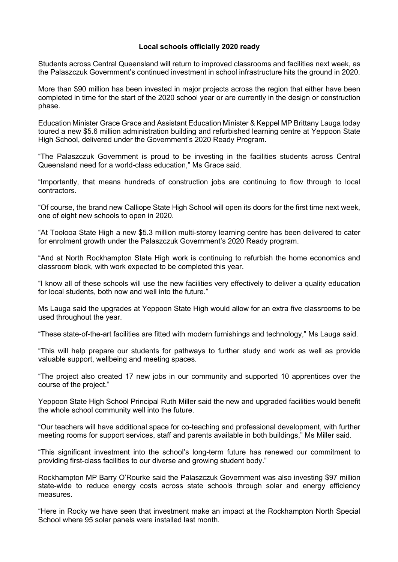## **Local schools officially 2020 ready**

Students across Central Queensland will return to improved classrooms and facilities next week, as the Palaszczuk Government's continued investment in school infrastructure hits the ground in 2020.

More than \$90 million has been invested in major projects across the region that either have been completed in time for the start of the 2020 school year or are currently in the design or construction phase.

Education Minister Grace Grace and Assistant Education Minister & Keppel MP Brittany Lauga today toured a new \$5.6 million administration building and refurbished learning centre at Yeppoon State High School, delivered under the Government's 2020 Ready Program.

"The Palaszczuk Government is proud to be investing in the facilities students across Central Queensland need for a world-class education," Ms Grace said.

"Importantly, that means hundreds of construction jobs are continuing to flow through to local contractors.

"Of course, the brand new Calliope State High School will open its doors for the first time next week, one of eight new schools to open in 2020.

"At Toolooa State High a new \$5.3 million multi-storey learning centre has been delivered to cater for enrolment growth under the Palaszczuk Government's 2020 Ready program.

"And at North Rockhampton State High work is continuing to refurbish the home economics and classroom block, with work expected to be completed this year.

"I know all of these schools will use the new facilities very effectively to deliver a quality education for local students, both now and well into the future."

Ms Lauga said the upgrades at Yeppoon State High would allow for an extra five classrooms to be used throughout the year.

"These state-of-the-art facilities are fitted with modern furnishings and technology," Ms Lauga said.

"This will help prepare our students for pathways to further study and work as well as provide valuable support, wellbeing and meeting spaces.

"The project also created 17 new jobs in our community and supported 10 apprentices over the course of the project."

Yeppoon State High School Principal Ruth Miller said the new and upgraded facilities would benefit the whole school community well into the future.

"Our teachers will have additional space for co-teaching and professional development, with further meeting rooms for support services, staff and parents available in both buildings," Ms Miller said.

"This significant investment into the school's long-term future has renewed our commitment to providing first-class facilities to our diverse and growing student body."

Rockhampton MP Barry O'Rourke said the Palaszczuk Government was also investing \$97 million state-wide to reduce energy costs across state schools through solar and energy efficiency measures.

"Here in Rocky we have seen that investment make an impact at the Rockhampton North Special School where 95 solar panels were installed last month.